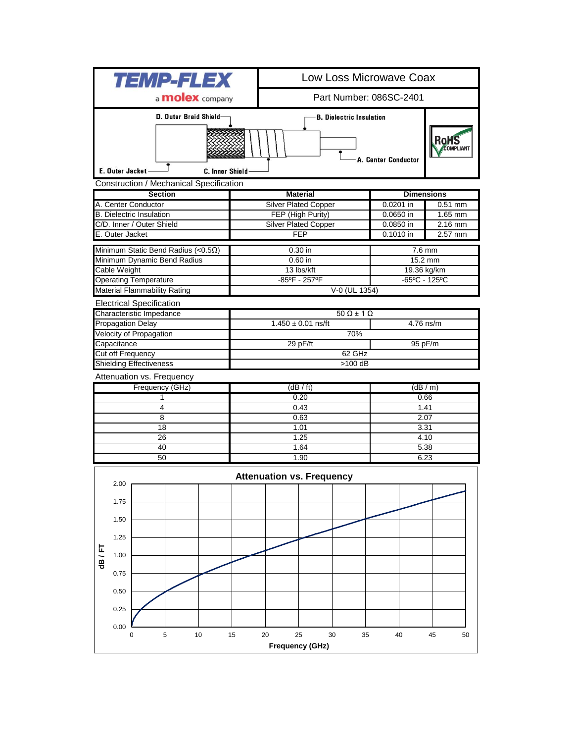| <i><b>TEMP-FLEX</b></i>                               |                                                                                                 |  | Low Loss Microwave Coax     |                                 |               |                                    |           |  |
|-------------------------------------------------------|-------------------------------------------------------------------------------------------------|--|-----------------------------|---------------------------------|---------------|------------------------------------|-----------|--|
| a <b>molex</b> company                                |                                                                                                 |  | Part Number: 086SC-2401     |                                 |               |                                    |           |  |
|                                                       | D. Outer Braid Shield-                                                                          |  |                             | <b>B. Dielectric Insulation</b> |               | <b>RoHS</b><br><b>OMPLIANT</b>     |           |  |
|                                                       | E. Outer Jacket-<br>C. Inner Shield                                                             |  |                             |                                 |               | A. Center Conductor                |           |  |
| Construction / Mechanical Specification               |                                                                                                 |  |                             |                                 |               |                                    |           |  |
| <b>Section</b>                                        |                                                                                                 |  | <b>Material</b>             |                                 |               | <b>Dimensions</b>                  |           |  |
|                                                       | A. Center Conductor                                                                             |  | <b>Silver Plated Copper</b> |                                 |               | 0.0201 in                          | $0.51$ mm |  |
|                                                       | <b>B.</b> Dielectric Insulation                                                                 |  | FEP (High Purity)           |                                 |               | $0.0650$ in                        | 1.65 mm   |  |
|                                                       | C/D. Inner / Outer Shield                                                                       |  | <b>Silver Plated Copper</b> |                                 |               | 0.0850 in                          | $2.16$ mm |  |
| E. Outer Jacket                                       |                                                                                                 |  | <b>FEP</b>                  |                                 |               | 0.1010 in                          | 2.57 mm   |  |
|                                                       | Minimum Static Bend Radius (< $0.5\Omega$ )                                                     |  | $0.30$ in                   |                                 |               | $7.6$ mm                           |           |  |
| Minimum Dynamic Bend Radius                           |                                                                                                 |  | $0.60$ in                   |                                 |               | 15.2 mm                            |           |  |
| Cable Weight                                          |                                                                                                 |  | 13 lbs/kft                  |                                 |               | 19.36 kg/km                        |           |  |
| <b>Operating Temperature</b>                          |                                                                                                 |  | -85°F - 257°F               |                                 |               | $-65^{\circ}$ C - 125 $^{\circ}$ C |           |  |
|                                                       | <b>Material Flammability Rating</b>                                                             |  |                             |                                 | V-0 (UL 1354) |                                    |           |  |
| <b>Electrical Specification</b>                       |                                                                                                 |  |                             |                                 |               |                                    |           |  |
|                                                       | Characteristic Impedance                                                                        |  | $50 \Omega \pm 1 \Omega$    |                                 |               |                                    |           |  |
|                                                       | <b>Propagation Delay</b><br>Velocity of Propagation                                             |  |                             | $1.450 \pm 0.01$ ns/ft          | 4.76 ns/m     |                                    |           |  |
|                                                       | Capacitance                                                                                     |  |                             | 29 pF/ft                        | 70%           | 95 pF/m                            |           |  |
|                                                       | Cut off Frequency                                                                               |  |                             |                                 |               |                                    |           |  |
| 62 GHz<br><b>Shielding Effectiveness</b><br>$>100$ dB |                                                                                                 |  |                             |                                 |               |                                    |           |  |
| Attenuation vs. Frequency                             |                                                                                                 |  |                             |                                 |               |                                    |           |  |
|                                                       | Frequency (GHz)                                                                                 |  | (dB / ft)                   |                                 |               | (dB/m)                             |           |  |
|                                                       | 1                                                                                               |  | 0.20                        |                                 |               | 0.66                               |           |  |
|                                                       | 4                                                                                               |  | 0.43                        |                                 |               | 1.41                               |           |  |
|                                                       | 8                                                                                               |  | 0.63                        |                                 |               | 2.07                               |           |  |
| 18                                                    |                                                                                                 |  | 1.01                        |                                 |               | 3.31                               |           |  |
| 26                                                    |                                                                                                 |  | 1.25                        |                                 |               | 4.10                               |           |  |
| 40                                                    |                                                                                                 |  | 1.64                        |                                 |               | 5.38                               |           |  |
|                                                       | 50                                                                                              |  | 1.90                        |                                 |               | 6.23                               |           |  |
|                                                       |                                                                                                 |  |                             |                                 |               |                                    |           |  |
|                                                       | 2.00                                                                                            |  |                             |                                 |               |                                    |           |  |
|                                                       | 1.75                                                                                            |  |                             |                                 |               |                                    |           |  |
| dB/FT                                                 | 1.50                                                                                            |  |                             |                                 |               |                                    |           |  |
|                                                       |                                                                                                 |  |                             |                                 |               |                                    |           |  |
|                                                       | 1.25                                                                                            |  |                             |                                 |               |                                    |           |  |
|                                                       | 1.00                                                                                            |  |                             |                                 |               |                                    |           |  |
|                                                       | 0.75                                                                                            |  |                             |                                 |               |                                    |           |  |
|                                                       | 0.50                                                                                            |  |                             |                                 |               |                                    |           |  |
|                                                       | 0.25                                                                                            |  |                             |                                 |               |                                    |           |  |
|                                                       | 0.00                                                                                            |  |                             |                                 |               |                                    |           |  |
|                                                       | $\sqrt{5}$<br>10<br>15<br>20<br>25<br>30<br>35<br>40<br>45<br>50<br>0<br><b>Frequency (GHz)</b> |  |                             |                                 |               |                                    |           |  |
|                                                       |                                                                                                 |  |                             |                                 |               |                                    |           |  |